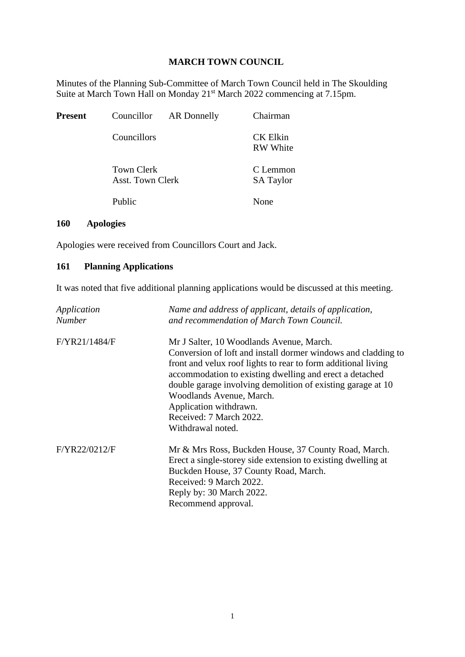## **MARCH TOWN COUNCIL**

Minutes of the Planning Sub-Committee of March Town Council held in The Skoulding Suite at March Town Hall on Monday 21<sup>st</sup> March 2022 commencing at 7.15pm.

| Present | Councillor                                             | AR Donnelly | Chairman                           |
|---------|--------------------------------------------------------|-------------|------------------------------------|
|         | Councillors                                            |             | <b>CK Elkin</b><br><b>RW</b> White |
|         | <b>Town Clerk</b><br><b>Asst. Town Clerk</b><br>Public |             | C Lemmon<br><b>SA Taylor</b>       |
|         |                                                        |             | None                               |

## **160 Apologies**

Apologies were received from Councillors Court and Jack.

## **161 Planning Applications**

It was noted that five additional planning applications would be discussed at this meeting.

| Application<br><b>Number</b> | Name and address of applicant, details of application,<br>and recommendation of March Town Council.                                                                                                                                                                                                                                                                                                        |
|------------------------------|------------------------------------------------------------------------------------------------------------------------------------------------------------------------------------------------------------------------------------------------------------------------------------------------------------------------------------------------------------------------------------------------------------|
| F/YR21/1484/F                | Mr J Salter, 10 Woodlands Avenue, March.<br>Conversion of loft and install dormer windows and cladding to<br>front and velux roof lights to rear to form additional living<br>accommodation to existing dwelling and erect a detached<br>double garage involving demolition of existing garage at 10<br>Woodlands Avenue, March.<br>Application withdrawn.<br>Received: 7 March 2022.<br>Withdrawal noted. |
| F/YR22/0212/F                | Mr & Mrs Ross, Buckden House, 37 County Road, March.<br>Erect a single-storey side extension to existing dwelling at<br>Buckden House, 37 County Road, March.<br>Received: 9 March 2022.<br>Reply by: 30 March 2022.<br>Recommend approval.                                                                                                                                                                |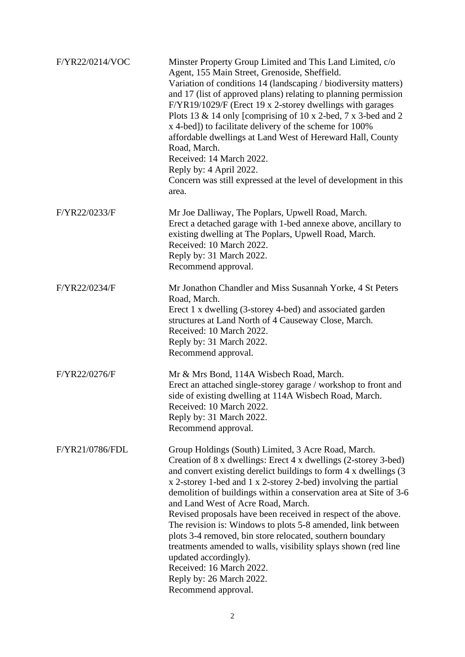| F/YR22/0214/VOC | Minster Property Group Limited and This Land Limited, c/o<br>Agent, 155 Main Street, Grenoside, Sheffield.<br>Variation of conditions 14 (landscaping / biodiversity matters)<br>and 17 (list of approved plans) relating to planning permission<br>F/YR19/1029/F (Erect 19 x 2-storey dwellings with garages<br>Plots 13 & 14 only [comprising of 10 x 2-bed, 7 x 3-bed and 2<br>x 4-bed]) to facilitate delivery of the scheme for 100%<br>affordable dwellings at Land West of Hereward Hall, County<br>Road, March.<br>Received: 14 March 2022.<br>Reply by: 4 April 2022.<br>Concern was still expressed at the level of development in this<br>area.                                                                                      |
|-----------------|-------------------------------------------------------------------------------------------------------------------------------------------------------------------------------------------------------------------------------------------------------------------------------------------------------------------------------------------------------------------------------------------------------------------------------------------------------------------------------------------------------------------------------------------------------------------------------------------------------------------------------------------------------------------------------------------------------------------------------------------------|
| F/YR22/0233/F   | Mr Joe Dalliway, The Poplars, Upwell Road, March.<br>Erect a detached garage with 1-bed annexe above, ancillary to<br>existing dwelling at The Poplars, Upwell Road, March.<br>Received: 10 March 2022.<br>Reply by: 31 March 2022.<br>Recommend approval.                                                                                                                                                                                                                                                                                                                                                                                                                                                                                      |
| F/YR22/0234/F   | Mr Jonathon Chandler and Miss Susannah Yorke, 4 St Peters<br>Road, March.<br>Erect 1 x dwelling (3-storey 4-bed) and associated garden<br>structures at Land North of 4 Causeway Close, March.<br>Received: 10 March 2022.<br>Reply by: 31 March 2022.<br>Recommend approval.                                                                                                                                                                                                                                                                                                                                                                                                                                                                   |
| F/YR22/0276/F   | Mr & Mrs Bond, 114A Wisbech Road, March.<br>Erect an attached single-storey garage / workshop to front and<br>side of existing dwelling at 114A Wisbech Road, March.<br>Received: 10 March 2022.<br>Reply by: 31 March 2022.<br>Recommend approval.                                                                                                                                                                                                                                                                                                                                                                                                                                                                                             |
| F/YR21/0786/FDL | Group Holdings (South) Limited, 3 Acre Road, March.<br>Creation of 8 x dwellings: Erect 4 x dwellings (2-storey 3-bed)<br>and convert existing derelict buildings to form 4 x dwellings (3)<br>x 2-storey 1-bed and 1 x 2-storey 2-bed) involving the partial<br>demolition of buildings within a conservation area at Site of 3-6<br>and Land West of Acre Road, March.<br>Revised proposals have been received in respect of the above.<br>The revision is: Windows to plots 5-8 amended, link between<br>plots 3-4 removed, bin store relocated, southern boundary<br>treatments amended to walls, visibility splays shown (red line<br>updated accordingly).<br>Received: 16 March 2022.<br>Reply by: 26 March 2022.<br>Recommend approval. |